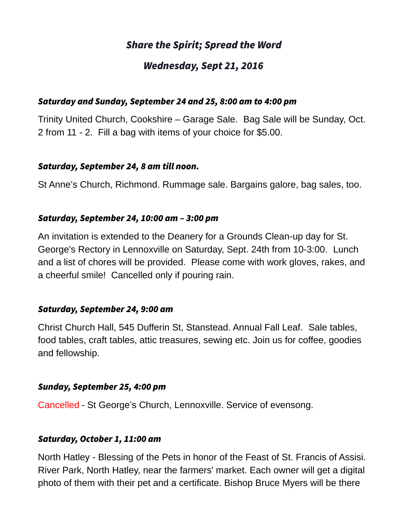# Share the Spirit; Spread the Word

# Wednesday, Sept 21, 2016

#### Saturday and Sunday, September 24 and 25, 8:00 am to 4:00 pm

Trinity United Church, Cookshire – Garage Sale. Bag Sale will be Sunday, Oct. 2 from 11 - 2. Fill a bag with items of your choice for \$5.00.

#### Saturday, September 24, 8 am till noon.

St Anne's Church, Richmond. Rummage sale. Bargains galore, bag sales, too.

#### Saturday, September 24, 10:00 am – 3:00 pm

An invitation is extended to the Deanery for a Grounds Clean-up day for St. George's Rectory in Lennoxville on Saturday, Sept. 24th from 10-3:00. Lunch and a list of chores will be provided. Please come with work gloves, rakes, and a cheerful smile! Cancelled only if pouring rain.

## Saturday, September 24, 9:00 am

Christ Church Hall, 545 Dufferin St, Stanstead. Annual Fall Leaf. Sale tables, food tables, craft tables, attic treasures, sewing etc. Join us for coffee, goodies and fellowship.

#### Sunday, September 25, 4:00 pm

Cancelled - St George's Church, Lennoxville. Service of evensong.

## Saturday, October 1, 11:00 am

North Hatley - Blessing of the Pets in honor of the Feast of St. Francis of Assisi. River Park, North Hatley, near the farmers' market. Each owner will get a digital photo of them with their pet and a certificate. Bishop Bruce Myers will be there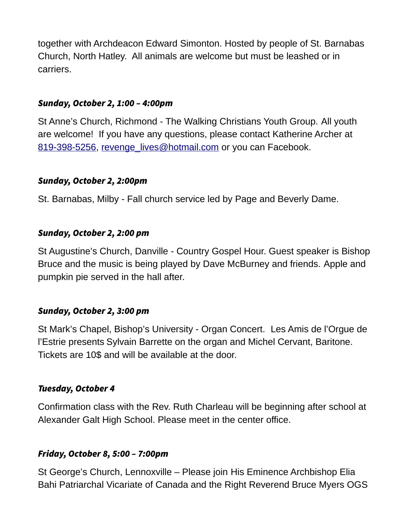together with Archdeacon Edward Simonton. Hosted by people of St. Barnabas Church, North Hatley. All animals are welcome but must be leashed or in carriers.

## Sunday, October 2, 1:00 – 4:00pm

St Anne's Church, Richmond - The Walking Christians Youth Group. All youth are welcome! If you have any questions, please contact Katherine Archer at [819-398-5256,](tel:819-398-5256) [revenge\\_lives@hotmail.com](mailto:revenge_lives@hotmail.com) or you can Facebook.

## Sunday, October 2, 2:00pm

St. Barnabas, Milby - Fall church service led by Page and Beverly Dame.

## Sunday, October 2, 2:00 pm

St Augustine's Church, Danville - Country Gospel Hour. Guest speaker is Bishop Bruce and the music is being played by Dave McBurney and friends. Apple and pumpkin pie served in the hall after.

# Sunday, October 2, 3:00 pm

St Mark's Chapel, Bishop's University - Organ Concert. Les Amis de l'Orgue de l'Estrie presents Sylvain Barrette on the organ and Michel Cervant, Baritone. Tickets are 10\$ and will be available at the door.

## Tuesday, October 4

Confirmation class with the Rev. Ruth Charleau will be beginning after school at Alexander Galt High School. Please meet in the center office.

# Friday, October 8, 5:00 – 7:00pm

St George's Church, Lennoxville – Please join His Eminence Archbishop Elia Bahi Patriarchal Vicariate of Canada and the Right Reverend Bruce Myers OGS